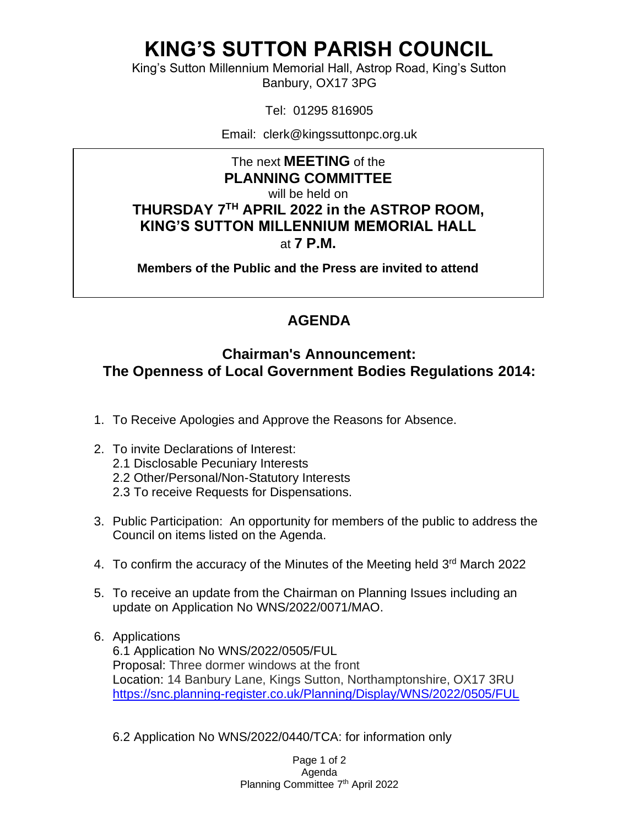## **KING'S SUTTON PARISH COUNCIL**

King's Sutton Millennium Memorial Hall, Astrop Road, King's Sutton Banbury, OX17 3PG

Tel: 01295 816905

Email: clerk@kingssuttonpc.org.uk

The next **MEETING** of the **PLANNING COMMITTEE** will be held on **THURSDAY 7 TH APRIL 2022 in the ASTROP ROOM, KING'S SUTTON MILLENNIUM MEMORIAL HALL** at **7 P.M.** 

**Members of the Public and the Press are invited to attend** 

## **AGENDA**

## **Chairman's Announcement: The Openness of Local Government Bodies Regulations 2014:**

- 1. To Receive Apologies and Approve the Reasons for Absence.
- 2. To invite Declarations of Interest:
	- 2.1 Disclosable Pecuniary Interests
	- 2.2 Other/Personal/Non-Statutory Interests
	- 2.3 To receive Requests for Dispensations.
- 3. Public Participation: An opportunity for members of the public to address the Council on items listed on the Agenda.
- 4. To confirm the accuracy of the Minutes of the Meeting held 3rd March 2022
- 5. To receive an update from the Chairman on Planning Issues including an update on Application No WNS/2022/0071/MAO.
- 6. Applications 6.1 Application No WNS/2022/0505/FUL Proposal: Three dormer windows at the front Location: 14 Banbury Lane, Kings Sutton, Northamptonshire, OX17 3RU <https://snc.planning-register.co.uk/Planning/Display/WNS/2022/0505/FUL>
	- 6.2 Application No WNS/2022/0440/TCA: for information only